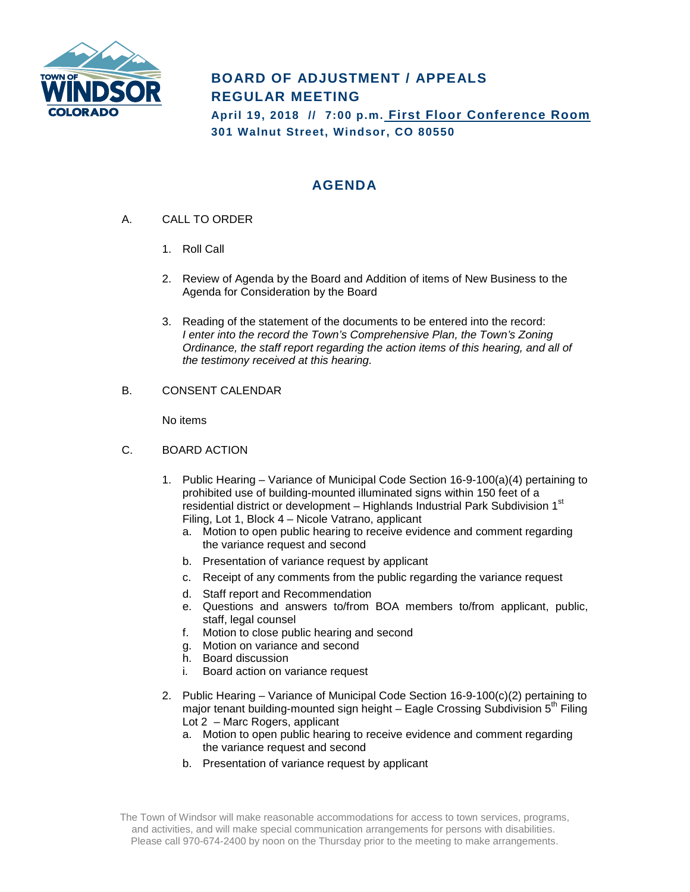

## **BOARD OF ADJUSTMENT / APPEALS REGULAR MEETING**

**April 19, 2018 // 7:00 p.m. First Floor Conference Room 301 Walnut Street, Windsor, CO 80550**

## **AGENDA**

- A. CALL TO ORDER
	- 1. Roll Call
	- 2. Review of Agenda by the Board and Addition of items of New Business to the Agenda for Consideration by the Board
	- 3. Reading of the statement of the documents to be entered into the record: *I enter into the record the Town's Comprehensive Plan, the Town's Zoning Ordinance, the staff report regarding the action items of this hearing, and all of the testimony received at this hearing.*
- B. CONSENT CALENDAR

No items

- C. BOARD ACTION
	- 1. Public Hearing Variance of Municipal Code Section 16-9-100(a)(4) pertaining to prohibited use of building-mounted illuminated signs within 150 feet of a residential district or development – Highlands Industrial Park Subdivision 1<sup>st</sup> Filing, Lot 1, Block 4 – Nicole Vatrano, applicant
		- a. Motion to open public hearing to receive evidence and comment regarding the variance request and second
		- b. Presentation of variance request by applicant
		- c. Receipt of any comments from the public regarding the variance request
		- d. Staff report and Recommendation
		- e. Questions and answers to/from BOA members to/from applicant, public, staff, legal counsel
		- f. Motion to close public hearing and second
		- g. Motion on variance and second
		- h. Board discussion
		- i. Board action on variance request
	- 2. Public Hearing Variance of Municipal Code Section 16-9-100(c)(2) pertaining to major tenant building-mounted sign height – Eagle Crossing Subdivision  $5<sup>th</sup>$  Filing Lot 2 – Marc Rogers, applicant
		- a. Motion to open public hearing to receive evidence and comment regarding the variance request and second
		- b. Presentation of variance request by applicant

The Town of Windsor will make reasonable accommodations for access to town services, programs, and activities, and will make special communication arrangements for persons with disabilities. Please call 970-674-2400 by noon on the Thursday prior to the meeting to make arrangements.